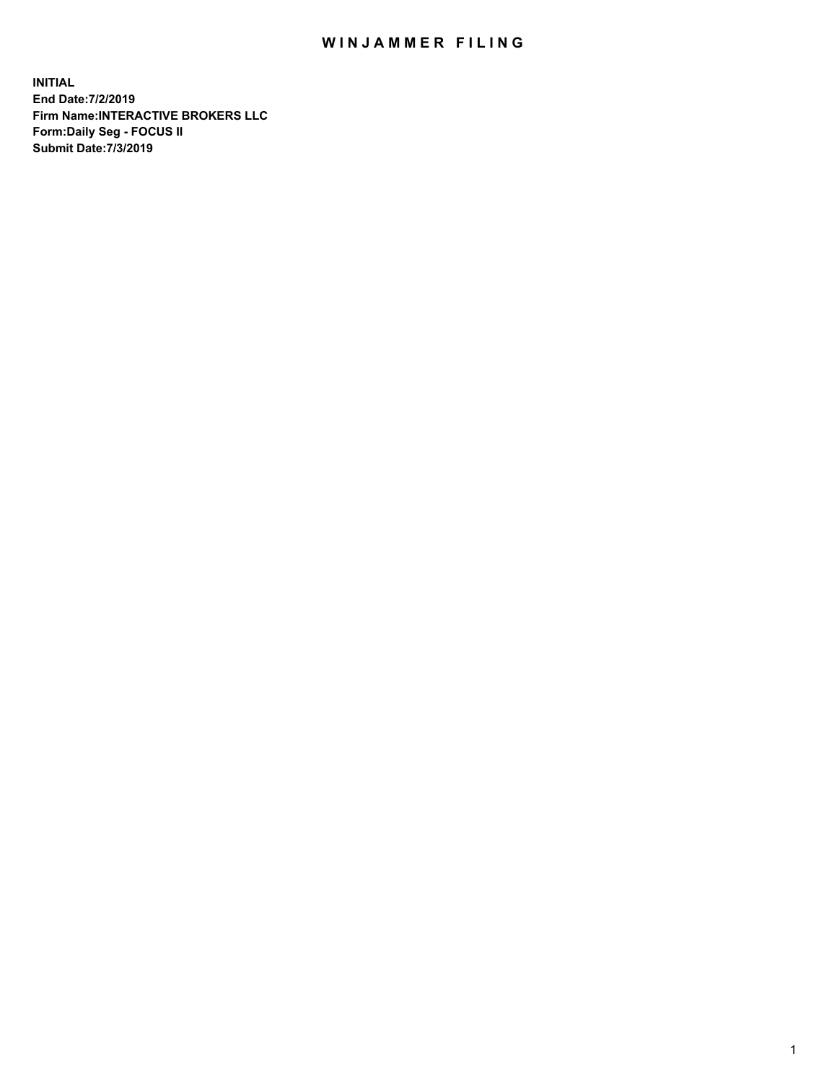## WIN JAMMER FILING

**INITIAL End Date:7/2/2019 Firm Name:INTERACTIVE BROKERS LLC Form:Daily Seg - FOCUS II Submit Date:7/3/2019**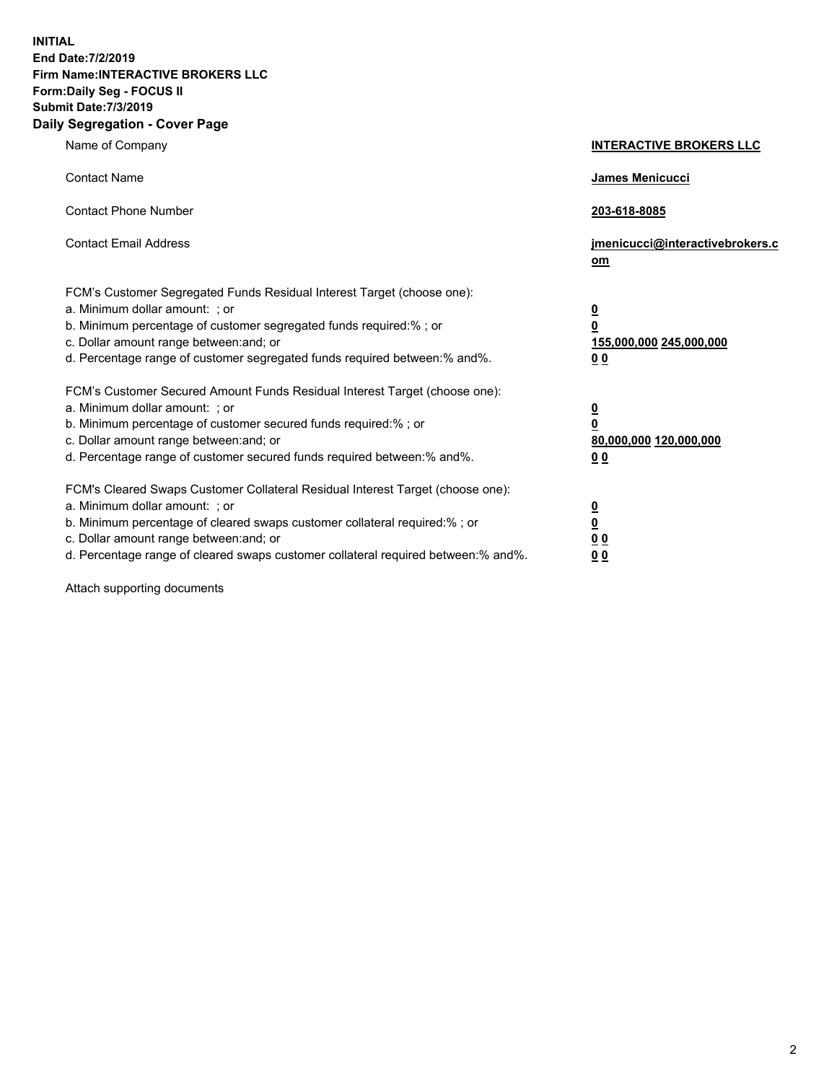**INITIAL End Date:7/2/2019 Firm Name:INTERACTIVE BROKERS LLC Form:Daily Seg - FOCUS II Submit Date:7/3/2019 Daily Segregation - Cover Page**

| Name of Company                                                                                                                                                                                                                                                                                                                | <b>INTERACTIVE BROKERS LLC</b>                                                      |
|--------------------------------------------------------------------------------------------------------------------------------------------------------------------------------------------------------------------------------------------------------------------------------------------------------------------------------|-------------------------------------------------------------------------------------|
| <b>Contact Name</b>                                                                                                                                                                                                                                                                                                            | James Menicucci                                                                     |
| <b>Contact Phone Number</b>                                                                                                                                                                                                                                                                                                    | 203-618-8085                                                                        |
| <b>Contact Email Address</b>                                                                                                                                                                                                                                                                                                   | jmenicucci@interactivebrokers.c<br>om                                               |
| FCM's Customer Segregated Funds Residual Interest Target (choose one):<br>a. Minimum dollar amount: ; or<br>b. Minimum percentage of customer segregated funds required:% ; or<br>c. Dollar amount range between: and; or<br>d. Percentage range of customer segregated funds required between:% and%.                         | $\overline{\mathbf{0}}$<br>$\overline{\mathbf{0}}$<br>155,000,000 245,000,000<br>00 |
| FCM's Customer Secured Amount Funds Residual Interest Target (choose one):<br>a. Minimum dollar amount: ; or<br>b. Minimum percentage of customer secured funds required:%; or<br>c. Dollar amount range between: and; or<br>d. Percentage range of customer secured funds required between:% and%.                            | $\overline{\mathbf{0}}$<br>0<br>80,000,000 120,000,000<br>00                        |
| FCM's Cleared Swaps Customer Collateral Residual Interest Target (choose one):<br>a. Minimum dollar amount: ; or<br>b. Minimum percentage of cleared swaps customer collateral required:% ; or<br>c. Dollar amount range between: and; or<br>d. Percentage range of cleared swaps customer collateral required between:% and%. | <u>0</u><br><u>0</u><br>0 <sub>0</sub><br>0 <sub>0</sub>                            |

Attach supporting documents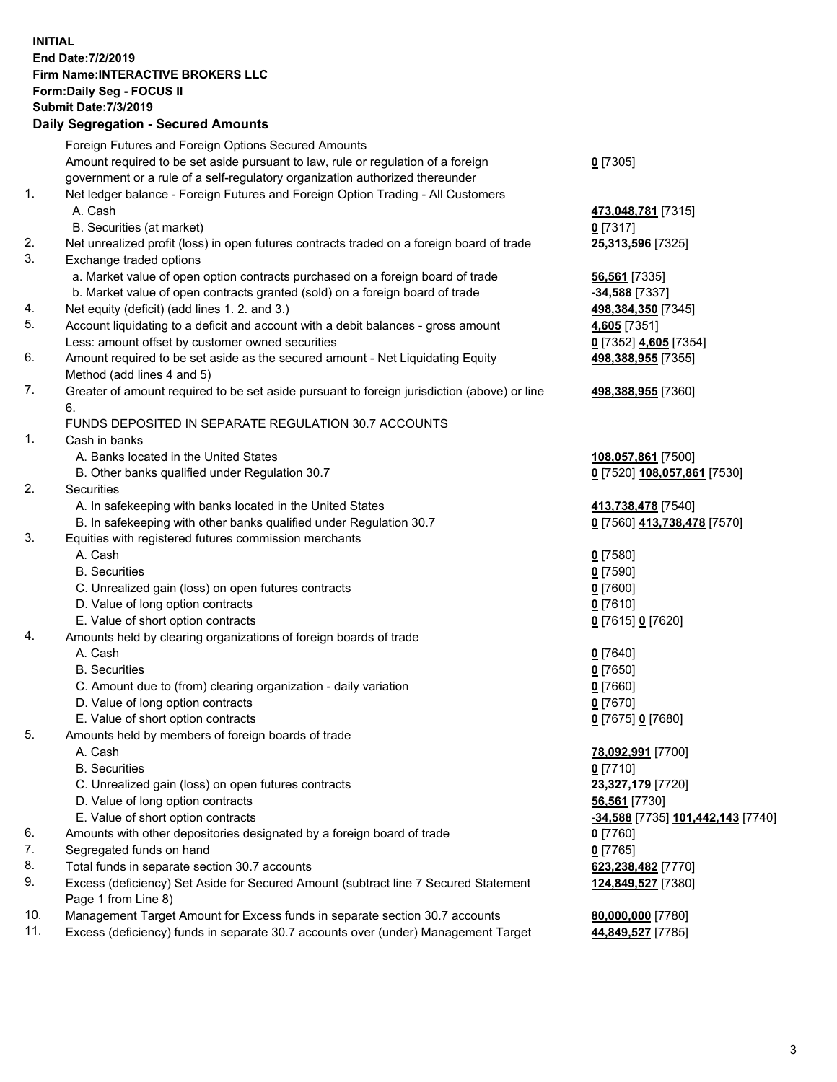**INITIAL End Date:7/2/2019 Firm Name:INTERACTIVE BROKERS LLC Form:Daily Seg - FOCUS II Submit Date:7/3/2019 Daily Segregation - Secured Amounts**

|     | Foreign Futures and Foreign Options Secured Amounts                                         |                                                |
|-----|---------------------------------------------------------------------------------------------|------------------------------------------------|
|     | Amount required to be set aside pursuant to law, rule or regulation of a foreign            | $0$ [7305]                                     |
|     | government or a rule of a self-regulatory organization authorized thereunder                |                                                |
| 1.  | Net ledger balance - Foreign Futures and Foreign Option Trading - All Customers             |                                                |
|     | A. Cash                                                                                     | 473,048,781 [7315]                             |
|     | B. Securities (at market)                                                                   | $0$ [7317]                                     |
| 2.  | Net unrealized profit (loss) in open futures contracts traded on a foreign board of trade   | 25,313,596 [7325]                              |
| 3.  | Exchange traded options                                                                     |                                                |
|     | a. Market value of open option contracts purchased on a foreign board of trade              | 56,561 [7335]                                  |
|     | b. Market value of open contracts granted (sold) on a foreign board of trade                | $-34,588$ [7337]                               |
| 4.  | Net equity (deficit) (add lines 1.2. and 3.)                                                | 498,384,350 [7345]                             |
| 5.  | Account liquidating to a deficit and account with a debit balances - gross amount           | 4,605 [7351]                                   |
|     | Less: amount offset by customer owned securities                                            | 0 [7352] 4,605 [7354]                          |
| 6.  | Amount required to be set aside as the secured amount - Net Liquidating Equity              | 498,388,955 [7355]                             |
|     | Method (add lines 4 and 5)                                                                  |                                                |
| 7.  | Greater of amount required to be set aside pursuant to foreign jurisdiction (above) or line | 498,388,955 [7360]                             |
|     | 6.                                                                                          |                                                |
|     | FUNDS DEPOSITED IN SEPARATE REGULATION 30.7 ACCOUNTS                                        |                                                |
| 1.  | Cash in banks                                                                               |                                                |
|     | A. Banks located in the United States                                                       | 108,057,861 [7500]                             |
|     | B. Other banks qualified under Regulation 30.7                                              | 0 [7520] 108,057,861 [7530]                    |
| 2.  | Securities                                                                                  |                                                |
|     | A. In safekeeping with banks located in the United States                                   | 413,738,478 [7540]                             |
|     | B. In safekeeping with other banks qualified under Regulation 30.7                          | 0 [7560] 413,738,478 [7570]                    |
| 3.  | Equities with registered futures commission merchants                                       |                                                |
|     | A. Cash                                                                                     | $0$ [7580]                                     |
|     | <b>B.</b> Securities                                                                        | $0$ [7590]                                     |
|     | C. Unrealized gain (loss) on open futures contracts                                         | $0$ [7600]                                     |
|     | D. Value of long option contracts                                                           | $0$ [7610]                                     |
|     | E. Value of short option contracts                                                          | 0 [7615] 0 [7620]                              |
| 4.  | Amounts held by clearing organizations of foreign boards of trade                           |                                                |
|     | A. Cash                                                                                     | $0$ [7640]                                     |
|     | <b>B.</b> Securities                                                                        | $0$ [7650]                                     |
|     | C. Amount due to (from) clearing organization - daily variation                             | $0$ [7660]                                     |
|     | D. Value of long option contracts                                                           | $0$ [7670]                                     |
|     | E. Value of short option contracts                                                          | 0 [7675] 0 [7680]                              |
| 5.  | Amounts held by members of foreign boards of trade                                          |                                                |
|     | A. Cash                                                                                     | 78,092,991 [7700]                              |
|     | <b>B.</b> Securities                                                                        | $0$ [7710]                                     |
|     | C. Unrealized gain (loss) on open futures contracts                                         | 23,327,179 [7720]                              |
|     | D. Value of long option contracts                                                           | 56,561 [7730]                                  |
|     | E. Value of short option contracts                                                          | <mark>-34,588</mark> [7735] 101,442,143 [7740] |
| 6.  | Amounts with other depositories designated by a foreign board of trade                      | 0 [7760]                                       |
| 7.  | Segregated funds on hand                                                                    | $0$ [7765]                                     |
| 8.  | Total funds in separate section 30.7 accounts                                               | 623,238,482 [7770]                             |
| 9.  | Excess (deficiency) Set Aside for Secured Amount (subtract line 7 Secured Statement         | 124,849,527 [7380]                             |
|     | Page 1 from Line 8)                                                                         |                                                |
| 10. | Management Target Amount for Excess funds in separate section 30.7 accounts                 | 80,000,000 [7780]                              |
| 11. | Excess (deficiency) funds in separate 30.7 accounts over (under) Management Target          | 44,849,527 [7785]                              |
|     |                                                                                             |                                                |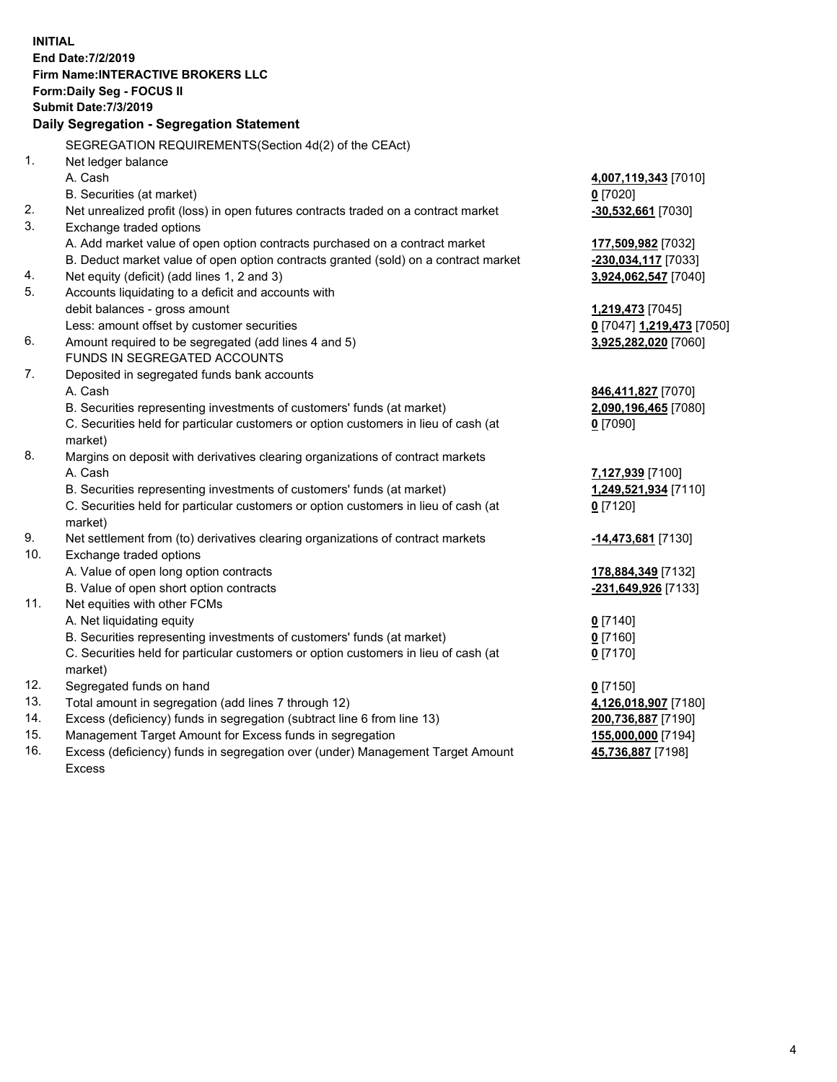**INITIAL End Date:7/2/2019 Firm Name:INTERACTIVE BROKERS LLC Form:Daily Seg - FOCUS II Submit Date:7/3/2019 Daily Segregation - Segregation Statement** SEGREGATION REQUIREMENTS(Section 4d(2) of the CEAct) 1. Net ledger balance A. Cash **4,007,119,343** [7010] B. Securities (at market) **0** [7020] 2. Net unrealized profit (loss) in open futures contracts traded on a contract market **-30,532,661** [7030] 3. Exchange traded options A. Add market value of open option contracts purchased on a contract market **177,509,982** [7032] B. Deduct market value of open option contracts granted (sold) on a contract market **-230,034,117** [7033] 4. Net equity (deficit) (add lines 1, 2 and 3) **3,924,062,547** [7040] 5. Accounts liquidating to a deficit and accounts with debit balances - gross amount **1,219,473** [7045] Less: amount offset by customer securities **0** [7047] **1,219,473** [7050] 6. Amount required to be segregated (add lines 4 and 5) **3,925,282,020** [7060] FUNDS IN SEGREGATED ACCOUNTS 7. Deposited in segregated funds bank accounts A. Cash **846,411,827** [7070] B. Securities representing investments of customers' funds (at market) **2,090,196,465** [7080] C. Securities held for particular customers or option customers in lieu of cash (at market) **0** [7090] 8. Margins on deposit with derivatives clearing organizations of contract markets A. Cash **7,127,939** [7100] B. Securities representing investments of customers' funds (at market) **1,249,521,934** [7110] C. Securities held for particular customers or option customers in lieu of cash (at market) **0** [7120] 9. Net settlement from (to) derivatives clearing organizations of contract markets **-14,473,681** [7130] 10. Exchange traded options A. Value of open long option contracts **178,884,349** [7132] B. Value of open short option contracts **-231,649,926** [7133] 11. Net equities with other FCMs A. Net liquidating equity **0** [7140] B. Securities representing investments of customers' funds (at market) **0** [7160] C. Securities held for particular customers or option customers in lieu of cash (at market) **0** [7170] 12. Segregated funds on hand **0** [7150] 13. Total amount in segregation (add lines 7 through 12) **4,126,018,907** [7180] 14. Excess (deficiency) funds in segregation (subtract line 6 from line 13) **200,736,887** [7190] 15. Management Target Amount for Excess funds in segregation **155,000,000** [7194] **45,736,887** [7198]

16. Excess (deficiency) funds in segregation over (under) Management Target Amount Excess